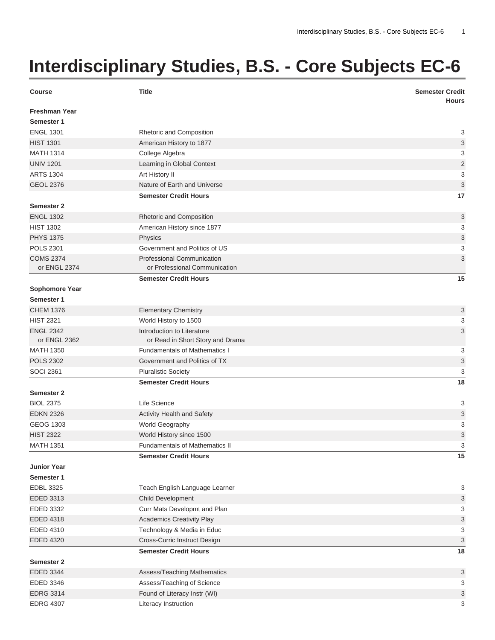## **Interdisciplinary Studies, B.S. - Core Subjects EC-6**

| <b>Course</b>        | <b>Title</b>                         | <b>Semester Credit</b><br><b>Hours</b> |
|----------------------|--------------------------------------|----------------------------------------|
| <b>Freshman Year</b> |                                      |                                        |
| Semester 1           |                                      |                                        |
| <b>ENGL 1301</b>     | Rhetoric and Composition             | 3                                      |
| <b>HIST 1301</b>     | American History to 1877             | 3                                      |
| <b>MATH 1314</b>     | College Algebra                      | 3                                      |
| <b>UNIV 1201</b>     | Learning in Global Context           | $\overline{2}$                         |
| <b>ARTS 1304</b>     | Art History II                       | 3                                      |
| <b>GEOL 2376</b>     | Nature of Earth and Universe         | 3                                      |
|                      | <b>Semester Credit Hours</b>         | 17                                     |
| Semester 2           |                                      |                                        |
| <b>ENGL 1302</b>     | Rhetoric and Composition             | 3                                      |
| <b>HIST 1302</b>     | American History since 1877          | 3                                      |
| <b>PHYS 1375</b>     | Physics                              | 3                                      |
| <b>POLS 2301</b>     | Government and Politics of US        | 3                                      |
| <b>COMS 2374</b>     | Professional Communication           | 3                                      |
| or ENGL 2374         | or Professional Communication        |                                        |
|                      | <b>Semester Credit Hours</b>         | 15                                     |
| Sophomore Year       |                                      |                                        |
| Semester 1           |                                      |                                        |
| <b>CHEM 1376</b>     | <b>Elementary Chemistry</b>          | 3                                      |
| <b>HIST 2321</b>     | World History to 1500                | 3                                      |
| <b>ENGL 2342</b>     | Introduction to Literature           | 3                                      |
| or ENGL 2362         | or Read in Short Story and Drama     |                                        |
| <b>MATH 1350</b>     | <b>Fundamentals of Mathematics I</b> | 3                                      |
| <b>POLS 2302</b>     | Government and Politics of TX        | 3                                      |
| <b>SOCI 2361</b>     | <b>Pluralistic Society</b>           | 3                                      |
|                      | <b>Semester Credit Hours</b>         | 18                                     |
| Semester 2           |                                      |                                        |
| <b>BIOL 2375</b>     | Life Science                         | 3                                      |
| <b>EDKN 2326</b>     | Activity Health and Safety           | 3                                      |
| <b>GEOG 1303</b>     | World Geography                      | 3                                      |
| <b>HIST 2322</b>     | World History since 1500             | 3                                      |
| <b>MATH 1351</b>     | Fundamentals of Mathematics II       | 3                                      |
|                      | <b>Semester Credit Hours</b>         | 15                                     |
| <b>Junior Year</b>   |                                      |                                        |
| Semester 1           |                                      |                                        |
| <b>EDBL 3325</b>     | Teach English Language Learner       | 3                                      |
| EDED 3313            | Child Development                    | 3                                      |
| EDED 3332            | Curr Mats Developmt and Plan         | 3                                      |
| EDED 4318            | <b>Academics Creativity Play</b>     | 3                                      |
| EDED 4310            | Technology & Media in Educ           | 3                                      |
| <b>EDED 4320</b>     | Cross-Curric Instruct Design         | 3                                      |
|                      | <b>Semester Credit Hours</b>         | 18                                     |
| Semester 2           |                                      |                                        |
| EDED 3344            | Assess/Teaching Mathematics          | 3                                      |
| <b>EDED 3346</b>     | Assess/Teaching of Science           | 3                                      |
| <b>EDRG 3314</b>     | Found of Literacy Instr (WI)         | 3                                      |
| <b>EDRG 4307</b>     | Literacy Instruction                 | 3                                      |